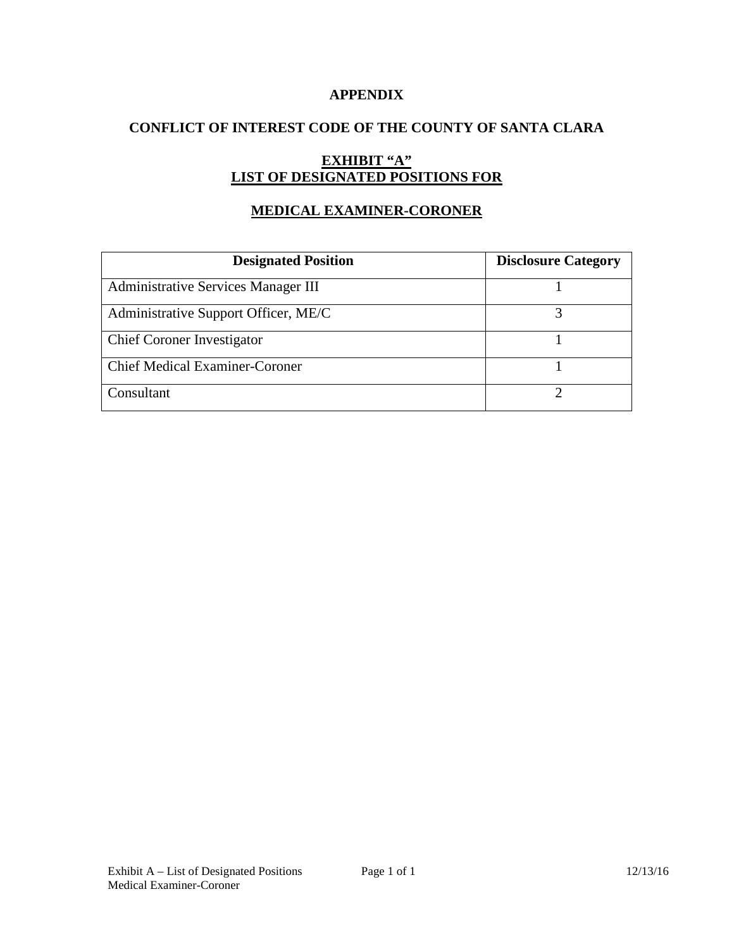## **APPENDIX**

## **CONFLICT OF INTEREST CODE OF THE COUNTY OF SANTA CLARA**

# **EXHIBIT "A" LIST OF DESIGNATED POSITIONS FOR**

## **MEDICAL EXAMINER-CORONER**

| <b>Designated Position</b>                 | <b>Disclosure Category</b> |
|--------------------------------------------|----------------------------|
| <b>Administrative Services Manager III</b> |                            |
| Administrative Support Officer, ME/C       |                            |
| <b>Chief Coroner Investigator</b>          |                            |
| <b>Chief Medical Examiner-Coroner</b>      |                            |
| Consultant                                 |                            |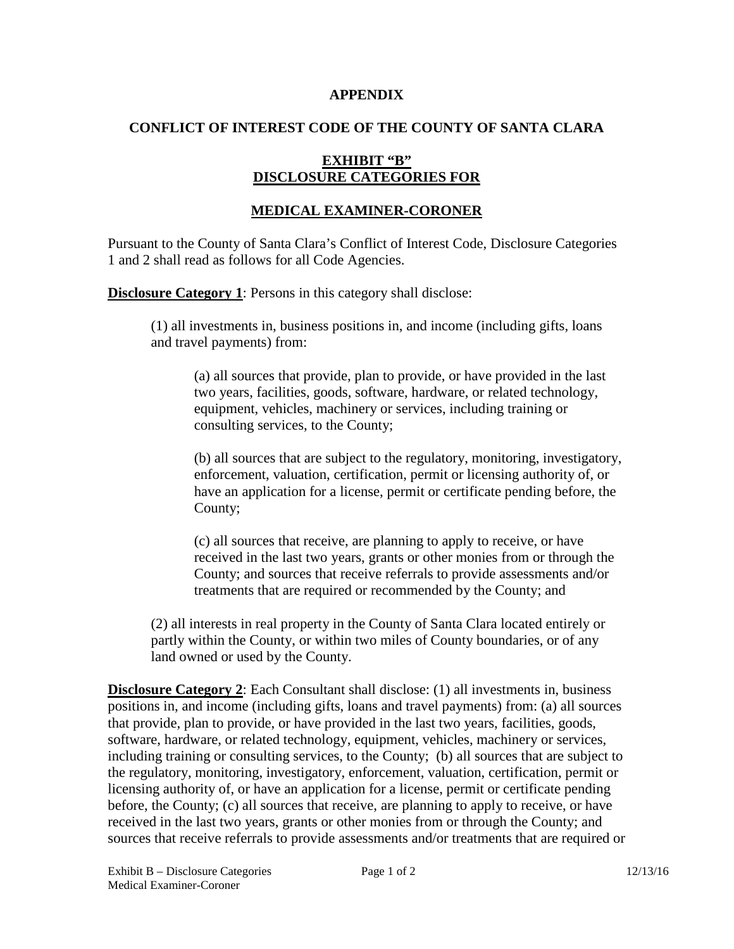#### **APPENDIX**

## **CONFLICT OF INTEREST CODE OF THE COUNTY OF SANTA CLARA**

## **EXHIBIT "B" DISCLOSURE CATEGORIES FOR**

## **MEDICAL EXAMINER-CORONER**

Pursuant to the County of Santa Clara's Conflict of Interest Code, Disclosure Categories 1 and 2 shall read as follows for all Code Agencies.

**Disclosure Category 1**: Persons in this category shall disclose:

(1) all investments in, business positions in, and income (including gifts, loans and travel payments) from:

(a) all sources that provide, plan to provide, or have provided in the last two years, facilities, goods, software, hardware, or related technology, equipment, vehicles, machinery or services, including training or consulting services, to the County;

(b) all sources that are subject to the regulatory, monitoring, investigatory, enforcement, valuation, certification, permit or licensing authority of, or have an application for a license, permit or certificate pending before, the County;

(c) all sources that receive, are planning to apply to receive, or have received in the last two years, grants or other monies from or through the County; and sources that receive referrals to provide assessments and/or treatments that are required or recommended by the County; and

(2) all interests in real property in the County of Santa Clara located entirely or partly within the County, or within two miles of County boundaries, or of any land owned or used by the County.

**Disclosure Category 2**: Each Consultant shall disclose: (1) all investments in, business positions in, and income (including gifts, loans and travel payments) from: (a) all sources that provide, plan to provide, or have provided in the last two years, facilities, goods, software, hardware, or related technology, equipment, vehicles, machinery or services, including training or consulting services, to the County; (b) all sources that are subject to the regulatory, monitoring, investigatory, enforcement, valuation, certification, permit or licensing authority of, or have an application for a license, permit or certificate pending before, the County; (c) all sources that receive, are planning to apply to receive, or have received in the last two years, grants or other monies from or through the County; and sources that receive referrals to provide assessments and/or treatments that are required or